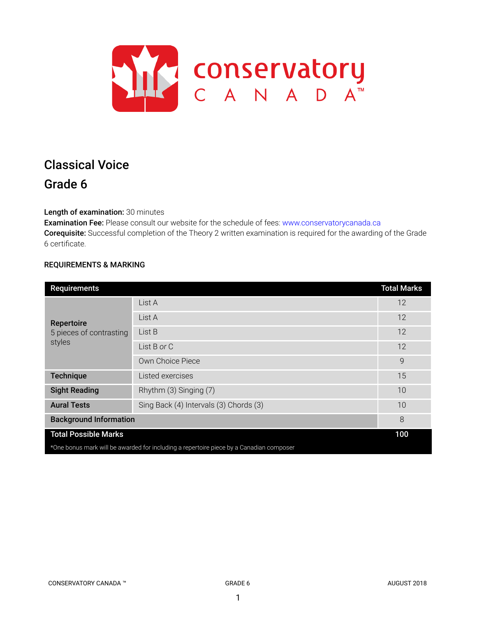

# Classical Voice Grade 6

Length of examination: 30 minutes

Examination Fee: Please consult our website for the schedule of fees: www.conservatorycanada.ca Corequisite: Successful completion of the Theory 2 written examination is required for the awarding of the Grade 6 certificate.

# REQUIREMENTS & MARKING

| <b>Requirements</b>                                                                     |                                        | <b>Total Marks</b> |  |
|-----------------------------------------------------------------------------------------|----------------------------------------|--------------------|--|
| Repertoire<br>5 pieces of contrasting<br>styles                                         | List A                                 | 12                 |  |
|                                                                                         | List A                                 | 12                 |  |
|                                                                                         | List B                                 | 12                 |  |
|                                                                                         | List B or C                            | 12                 |  |
|                                                                                         | Own Choice Piece                       | 9                  |  |
| <b>Technique</b>                                                                        | Listed exercises                       | 15                 |  |
| <b>Sight Reading</b>                                                                    | Rhythm (3) Singing (7)                 | 10                 |  |
| <b>Aural Tests</b>                                                                      | Sing Back (4) Intervals (3) Chords (3) | 10                 |  |
| <b>Background Information</b>                                                           |                                        | 8                  |  |
| <b>Total Possible Marks</b>                                                             |                                        |                    |  |
| *One bonus mark will be awarded for including a repertoire piece by a Canadian composer |                                        |                    |  |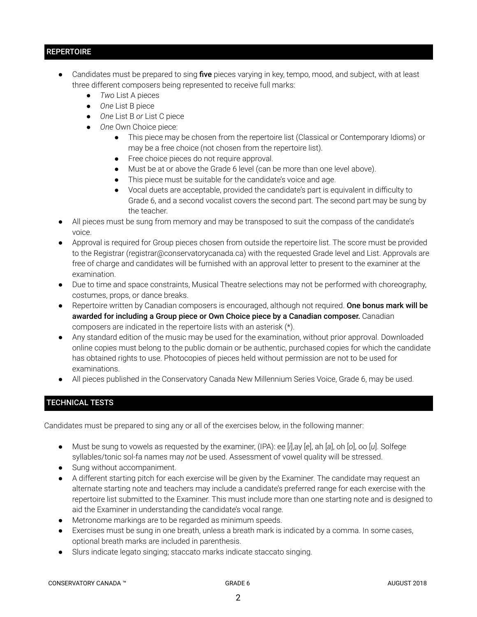# **REPERTOIRE**

- Candidates must be prepared to sing five pieces varying in key, tempo, mood, and subject, with at least three different composers being represented to receive full marks:
	- *Two* List A pieces
	- *One* List B piece
	- *One* List B *or* List C piece
	- *One* Own Choice piece:
		- This piece may be chosen from the repertoire list (Classical or Contemporary Idioms) or may be a free choice (not chosen from the repertoire list).
		- Free choice pieces do not require approval.
		- Must be at or above the Grade 6 level (can be more than one level above).
		- This piece must be suitable for the candidate's voice and age.
		- Vocal duets are acceptable, provided the candidate's part is equivalent in difficulty to Grade 6, and a second vocalist covers the second part. The second part may be sung by the teacher.
- All pieces must be sung from memory and may be transposed to suit the compass of the candidate's voice.
- Approval is required for Group pieces chosen from outside the repertoire list. The score must be provided to the Registrar (registrar@conservatorycanada.ca) with the requested Grade level and List. Approvals are free of charge and candidates will be furnished with an approval letter to present to the examiner at the examination.
- Due to time and space constraints, Musical Theatre selections may not be performed with choreography, costumes, props, or dance breaks.
- Repertoire written by Canadian composers is encouraged, although not required. One bonus mark will be awarded for including a Group piece or Own Choice piece by a Canadian composer. Canadian composers are indicated in the repertoire lists with an asterisk (\*).
- Any standard edition of the music may be used for the examination, without prior approval. Downloaded online copies must belong to the public domain or be authentic, purchased copies for which the candidate has obtained rights to use. Photocopies of pieces held without permission are not to be used for examinations.
- All pieces published in the Conservatory Canada New Millennium Series Voice, Grade 6, may be used.

# TECHNICAL TESTS

Candidates must be prepared to sing any or all of the exercises below, in the following manner:

- Must be sung to vowels as requested by the examiner, (IPA): ee [*i*],ay [*e*], ah [*a*], oh [*o*], oo [*u*]. Solfege syllables/tonic sol-fa names may *not* be used. Assessment of vowel quality will be stressed.
- Sung without accompaniment.
- A different starting pitch for each exercise will be given by the Examiner. The candidate may request an alternate starting note and teachers may include a candidate's preferred range for each exercise with the repertoire list submitted to the Examiner. This must include more than one starting note and is designed to aid the Examiner in understanding the candidate's vocal range.
- Metronome markings are to be regarded as minimum speeds.
- Exercises must be sung in one breath, unless a breath mark is indicated by a comma. In some cases, optional breath marks are included in parenthesis.
- Slurs indicate legato singing; staccato marks indicate staccato singing.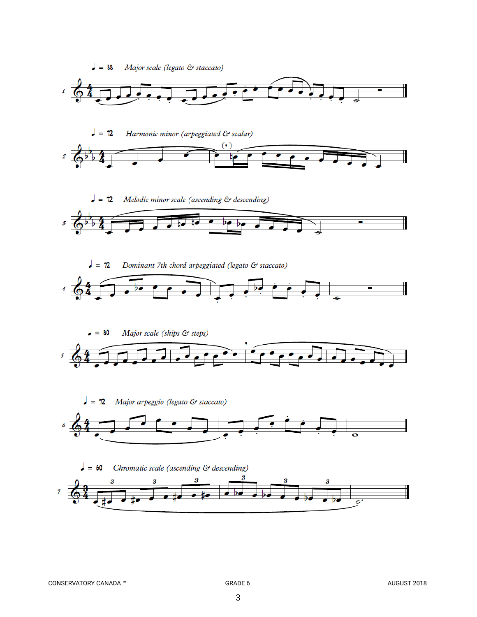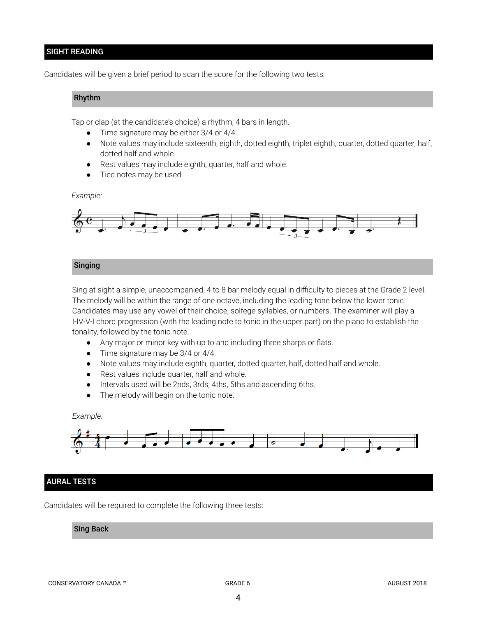# SIGHT READING

Candidates will be given a brief period to scan the score for the following two tests:

#### Rhythm

Tap or clap (at the candidate's choice) a rhythm, 4 bars in length.

- Time signature may be either 3/4 or 4/4.
- Note values may include sixteenth, eighth, dotted eighth, triplet eighth, quarter, dotted quarter, half, dotted half and whole.
- Rest values may include eighth, quarter, half and whole.
- Tied notes may be used.

#### *Example:*



# Singing

Sing at sight a simple, unaccompanied, 4 to 8 bar melody equal in difficulty to pieces at the Grade 2 level. The melody will be within the range of one octave, including the leading tone below the lower tonic. Candidates may use any vowel of their choice, solfege syllables, or numbers. The examiner will play a I-IV-V-I chord progression (with the leading note to tonic in the upper part) on the piano to establish the tonality, followed by the tonic note.

- *●* Any major or minor key with up to and including three sharps or flats.
- *●* Time signature may be 3/4 or 4/4.
- Note values may include eighth, quarter, dotted quarter, half, dotted half and whole.
- Rest values include quarter, half and whole.
- Intervals used will be 2nds, 3rds, 4ths, 5ths and ascending 6ths.
- The melody will begin on the tonic note.

#### *Example:*



#### AURAL TESTS

Candidates will be required to complete the following three tests:

# Sing Back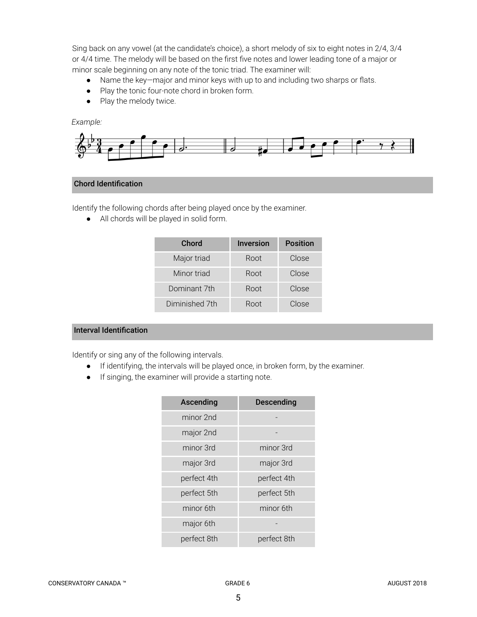Sing back on any vowel (at the candidate's choice), a short melody of six to eight notes in 2/4, 3/4 or 4/4 time. The melody will be based on the first five notes and lower leading tone of a major or minor scale beginning on any note of the tonic triad. The examiner will:

- Name the key—major and minor keys with up to and including two sharps or flats.
- Play the tonic four-note chord in broken form.
- Play the melody twice.

# *Example:*



# Chord Identification

Identify the following chords after being played once by the examiner.

● All chords will be played in solid form.

| Chord          | <b>Inversion</b> | <b>Position</b> |
|----------------|------------------|-----------------|
| Major triad    | Root             | Close           |
| Minor triad    | Root             | Close           |
| Dominant 7th   | Root             | Close           |
| Diminished 7th | Root             | Close           |

# Interval Identification

Identify or sing any of the following intervals.

- If identifying, the intervals will be played once, in broken form, by the examiner.
- If singing, the examiner will provide a starting note.

| <b>Ascending</b> | Descending  |  |
|------------------|-------------|--|
| minor 2nd        |             |  |
| major 2nd        |             |  |
| minor 3rd        | minor 3rd   |  |
| major 3rd        | major 3rd   |  |
| perfect 4th      | perfect 4th |  |
| perfect 5th      | perfect 5th |  |
| minor 6th        | minor 6th   |  |
| major 6th        |             |  |
| perfect 8th      | perfect 8th |  |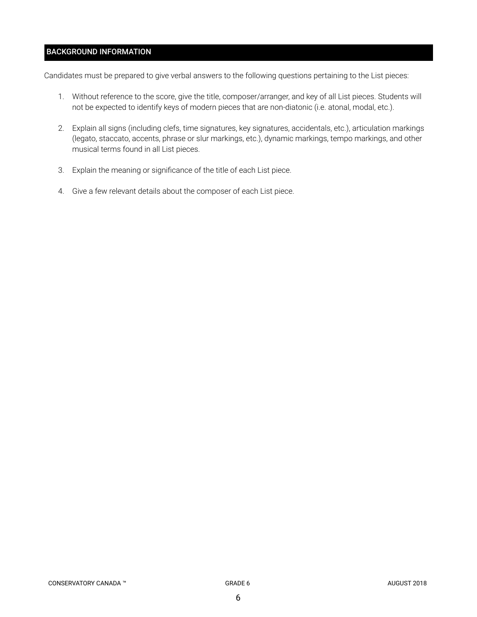# BACKGROUND INFORMATION

Candidates must be prepared to give verbal answers to the following questions pertaining to the List pieces:

- 1. Without reference to the score, give the title, composer/arranger, and key of all List pieces. Students will not be expected to identify keys of modern pieces that are non-diatonic (i.e. atonal, modal, etc.).
- 2. Explain all signs (including clefs, time signatures, key signatures, accidentals, etc.), articulation markings (legato, staccato, accents, phrase or slur markings, etc.), dynamic markings, tempo markings, and other musical terms found in all List pieces.
- 3. Explain the meaning or significance of the title of each List piece.
- 4. Give a few relevant details about the composer of each List piece.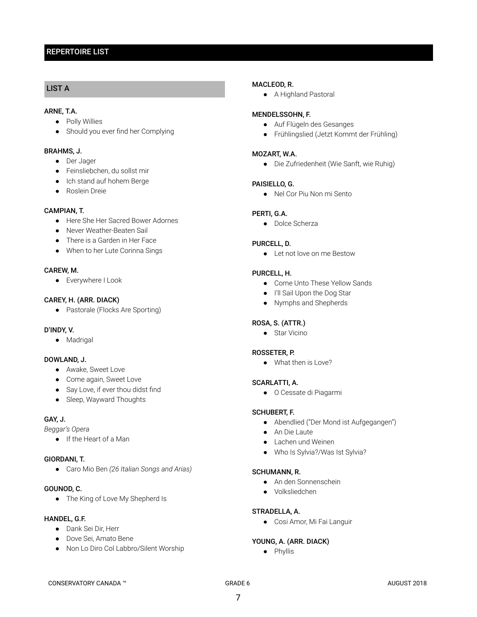# REPERTOIRE LIST

# LIST A

#### ARNE, T.A.

- Polly Willies
- Should you ever find her Complying

#### BRAHMS, J.

- Der Jager
- Feinsliebchen, du sollst mir
- Ich stand auf hohem Berge
- Roslein Dreie

#### CAMPIAN, T.

- Here She Her Sacred Bower Adornes
- Never Weather-Beaten Sail
- There is a Garden in Her Face
- When to her Lute Corinna Sings

#### CAREW, M.

● Everywhere I Look

#### CAREY, H. (ARR. DIACK)

● Pastorale (Flocks Are Sporting)

#### D'INDY, V.

● Madrigal

#### DOWLAND, J.

- Awake, Sweet Love
- Come again, Sweet Love
- Say Love, if ever thou didst find
- Sleep, Wayward Thoughts

# GAY, J.

*Beggar's Opera*

● If the Heart of a Man

#### GIORDANI, T.

● Caro Mio Ben *(26 Italian Songs and Arias)*

# GOUNOD, C.

• The King of Love My Shepherd Is

### HANDEL, G.F.

- Dank Sei Dir, Herr
- Dove Sei, Amato Bene
- Non Lo Diro Col Labbro/Silent Worship

#### MACLEOD, R.

● A Highland Pastoral

#### MENDELSSOHN, F.

- Auf Flügeln des Gesanges
- Frühlingslied (Jetzt Kommt der Frühling)

#### MOZART, W.A.

● Die Zufriedenheit (Wie Sanft, wie Ruhig)

#### PAISIELLO, G.

● Nel Cor Piu Non mi Sento

#### PERTI, G.A.

● Dolce Scherza

#### PURCELL, D.

● Let not love on me Bestow

#### PURCELL, H.

- Come Unto These Yellow Sands
- I'll Sail Upon the Dog Star
- Nymphs and Shepherds

#### ROSA, S. (ATTR.)

● Star Vicino

#### ROSSETER, P.

● What then is Love?

#### SCARLATTI, A.

● O Cessate di Piagarmi

### SCHUBERT, F.

- Abendlied ("Der Mond ist Aufgegangen")
- An Die Laute
- Lachen und Weinen
- Who Is Sylvia?/Was Ist Sylvia?

#### SCHUMANN, R.

- An den Sonnenschein
- Volksliedchen

# STRADELLA, A.

● Cosi Amor, Mi Fai Languir

#### YOUNG, A. (ARR. DIACK)

● Phyllis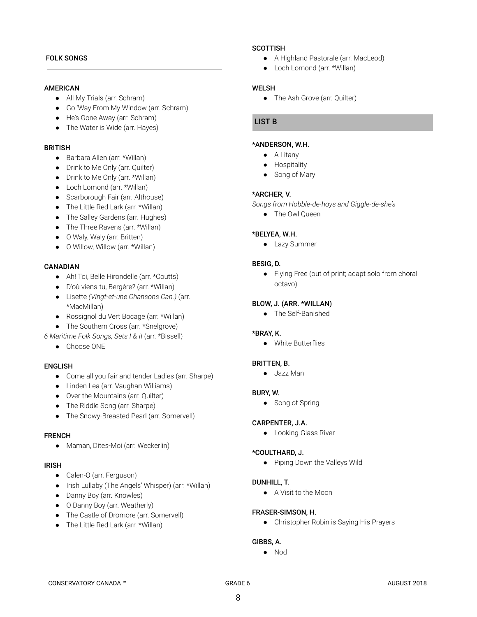#### FOLK SONGS

#### AMERICAN

- All My Trials (arr. Schram)
- Go 'Way From My Window (arr. Schram)
- He's Gone Away (arr. Schram)
- The Water is Wide (arr. Hayes)

#### **BRITISH**

- Barbara Allen (arr. \*Willan)
- Drink to Me Only (arr. Quilter)
- Drink to Me Only (arr. \*Willan)
- Loch Lomond (arr. \*Willan)
- Scarborough Fair (arr. Althouse)
- The Little Red Lark (arr. \*Willan)
- The Salley Gardens (arr. Hughes)
- The Three Ravens (arr. \*Willan)
- O Waly, Waly (arr. Britten)
- O Willow, Willow (arr. \*Willan)

#### **CANADIAN**

- Ah! Toi, Belle Hirondelle (arr. \*Coutts)
- D'où viens-tu, Bergère? (arr. \*Willan)
- Lisette *(Vingt-et-une Chansons Can.)* (arr. \*MacMillan)
- Rossignol du Vert Bocage (arr. \*Willan)
- The Southern Cross (arr. \*Snelgrove)
- *6 Maritime Folk Songs, Sets I & II* (arr. \*Bissell)
	- Choose ONE

#### ENGLISH

- Come all you fair and tender Ladies (arr. Sharpe)
- Linden Lea (arr. Vaughan Williams)
- Over the Mountains (arr. Quilter)
- The Riddle Song (arr. Sharpe)
- The Snowy-Breasted Pearl (arr. Somervell)

#### FRENCH

● Maman, Dites-Moi (arr. Weckerlin)

#### IRISH

- Calen-O (arr. Ferguson)
- Irish Lullaby (The Angels' Whisper) (arr. \*Willan)
- Danny Boy (arr. Knowles)
- O Danny Boy (arr. Weatherly)
- The Castle of Dromore (arr. Somervell)
- The Little Red Lark (arr. \*Willan)

#### **SCOTTISH**

- A Highland Pastorale (arr. MacLeod)
- Loch Lomond (arr. \*Willan)

#### WELSH

● The Ash Grove (arr. Quilter)

#### LIST B

#### \*ANDERSON, W.H.

- A Litany
- Hospitality
- Song of Mary

#### \*ARCHER, V.

- *Songs from Hobble-de-hoys and Giggle-de-she's*
	- The Owl Queen

#### \*BELYEA, W.H.

● Lazy Summer

#### BESIG, D.

● Flying Free (out of print; adapt solo from choral octavo)

#### BLOW, J. (ARR. \*WILLAN)

● The Self-Banished

#### \*BRAY, K.

● White Butterflies

#### BRITTEN, B.

● Jazz Man

#### BURY, W.

● Song of Spring

#### CARPENTER, J.A.

● Looking-Glass River

#### \*COULTHARD, J.

● Piping Down the Valleys Wild

#### DUNHILL, T.

● A Visit to the Moon

#### FRASER-SIMSON, H.

● Christopher Robin is Saying His Prayers

# GIBBS, A.

● Nod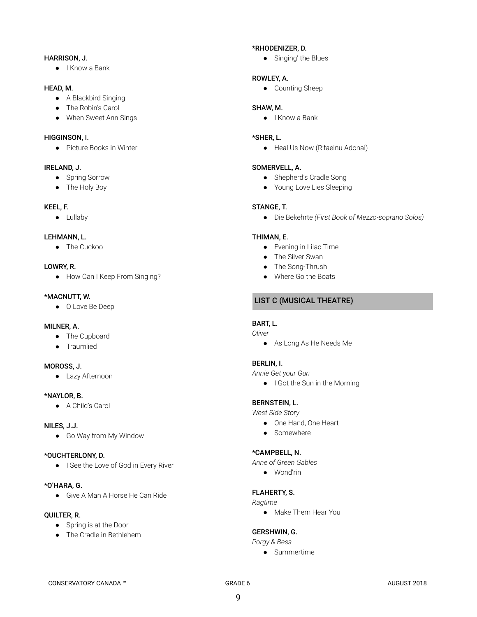#### HARRISON, J.

● I Know a Bank

# HEAD, M.

- A Blackbird Singing
- The Robin's Carol
- When Sweet Ann Sings

# HIGGINSON, I.

● Picture Books in Winter

# IRELAND, J.

- Spring Sorrow
- The Holy Boy

# KEEL, F.

● Lullaby

# LEHMANN, L.

● The Cuckoo

# LOWRY, R.

● How Can I Keep From Singing?

# \*MACNUTT, W.

● O Love Be Deep

#### MILNER, A.

- The Cupboard
- Traumlied

# MOROSS, J.

● Lazy Afternoon

# \*NAYLOR, B.

● A Child's Carol

# NILES, J.J.

● Go Way from My Window

# \*OUCHTERLONY, D.

● I See the Love of God in Every River

#### \*O'HARA, G.

● Give A Man A Horse He Can Ride

#### QUILTER, R.

- Spring is at the Door
- The Cradle in Bethlehem

# \*RHODENIZER, D.

● Singing' the Blues

# ROWLEY, A.

● Counting Sheep

# SHAW, M.

● I Know a Bank

# \*SHER, L.

● Heal Us Now (R'faeinu Adonai)

# SOMERVELL, A.

- Shepherd's Cradle Song
- Young Love Lies Sleeping

# STANGE, T.

● Die Bekehrte *(First Book of Mezzo-soprano Solos)*

# THIMAN, E.

- Evening in Lilac Time
- The Silver Swan
- The Song-Thrush
- Where Go the Boats

# LIST C (MUSICAL THEATRE)

# BART, L.

- *Oliver*
	- As Long As He Needs Me

# BERLIN, I.

*Annie Get your Gun*

● I Got the Sun in the Morning

# BERNSTEIN, L.

*West Side Story*

- One Hand, One Heart
- Somewhere

# \*CAMPBELL, N.

*Anne of Green Gables*

● Wond'rin

# FLAHERTY, S.

# *Ragtime*

● Make Them Hear You

# GERSHWIN, G.

*Porgy & Bess*

● Summertime